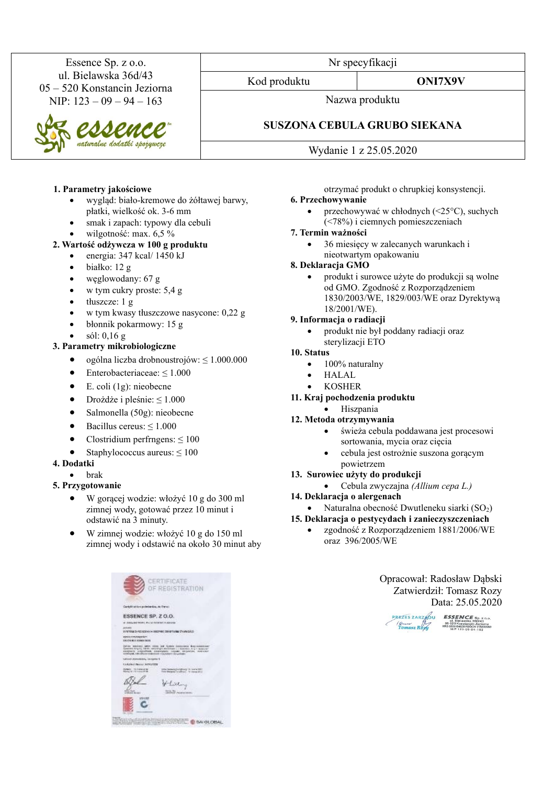Essence Sp. z o.o. ul. Bielawska 36d/43 05 – 520 Konstancin Jeziorna NIP:  $123 - 09 - 94 - 163$ 

aturalne dodatki spożywcze

#### **1. Parametry jakościowe**

- wygląd: biało-kremowe do żółtawej barwy, płatki, wielkość ok. 3-6 mm
- smak i zapach: typowy dla cebuli
- wilgotność: max. 6,5 %

#### **2. Wartość odżywcza w 100 g produktu**

- energia: 347 kcal/ 1450 kJ
- białko: 12 g
- węglowodany: 67 g
- w tym cukry proste: 5,4 g
- tłuszcze: 1 g
- w tym kwasy tłuszczowe nasycone: 0,22 g
- błonnik pokarmowy: 15 g
- sól: 0,16 g

# **3. Parametry mikrobiologiczne**

- ogólna liczba drobnoustrojów: ≤ 1.000.000
- Enterobacteriaceae: ≤ 1.000
- $\bullet$  E. coli (1g): nieobecne
- Drożdże i pleśnie:  $\leq 1.000$
- Salmonella (50g): nieobecne
- Bacillus cereus:  $\leq 1.000$
- Clostridium perfrngens:  $\leq 100$
- Staphylococcus aureus:  $\leq 100$

#### **4. Dodatki**

- brak
- **5. Przygotowanie**
	- W gorącej wodzie: włożyć 10 g do 300 ml zimnej wody, gotować przez 10 minut i odstawić na 3 minuty.
	- W zimnej wodzie: włożyć 10 g do 150 ml zimnej wody i odstawić na około 30 minut aby

|                                                                | OF REGISTRATION                                                                                                                                                                                                                                                           |
|----------------------------------------------------------------|---------------------------------------------------------------------------------------------------------------------------------------------------------------------------------------------------------------------------------------------------------------------------|
| Cartolinas tam probabantos, de Frenci-                         |                                                                                                                                                                                                                                                                           |
| ESSENCE SP. Z O.O.                                             |                                                                                                                                                                                                                                                                           |
| a statute more most linear classical                           |                                                                                                                                                                                                                                                                           |
|                                                                | EVETEM DARLADEAN HIRDPIRC DIRETWIN ZYVINGALL                                                                                                                                                                                                                              |
| <b>VERSION WURNING YOUR</b><br>that that souls remain record   |                                                                                                                                                                                                                                                                           |
|                                                                | Johns weeken jaken voor het Ayden Announce Roomstatens<br>Countries Arty-Tig, Neith- weiselinger, Autoritism ( ) Assumes, to (ii ) boxes on<br>EDITOR'S JOSEPHINE CONFIDENT COLLECT SECURITIES, JOSEPHINE<br>scheduled, militard and consistent with a phase for problem. |
| Latinuth Jewisseleders, Laungshaff                             |                                                                                                                                                                                                                                                                           |
| United States Internet                                         |                                                                                                                                                                                                                                                                           |
| Pictures   TO FIGURE 20180<br>Painting (8) 7 S (1 p.m.) 277 W. | counts buildings in lowin 1981<br><b>Total Blockwood</b><br>while you. Writers \$11.5                                                                                                                                                                                     |
|                                                                |                                                                                                                                                                                                                                                                           |
|                                                                | Lat.                                                                                                                                                                                                                                                                      |
|                                                                |                                                                                                                                                                                                                                                                           |
|                                                                | Market - Nording Street                                                                                                                                                                                                                                                   |

**BREED RESIDENTS C SACCEAL** 

Nr specyfikacji

Kod produktu **ONI7X9V**

Nazwa produktu

# **SUSZONA CEBULA GRUBO SIEKANA**

Wydanie 1 z 25.05.2020

otrzymać produkt o chrupkiej konsystencji.

# **6. Przechowywanie**

• przechowywać w chłodnych (<25°C), suchych (<78%) i ciemnych pomieszczeniach

#### **7. Termin ważności**

• 36 miesięcy w zalecanych warunkach i nieotwartym opakowaniu

#### **8. Deklaracja GMO**

• produkt i surowce użyte do produkcji są wolne od GMO. Zgodność z Rozporządzeniem 1830/2003/WE, 1829/003/WE oraz Dyrektywą 18/2001/WE).

#### **9. Informacja o radiacji**

• produkt nie był poddany radiacji oraz sterylizacji ETO

#### **10. Status**

- 100% naturalny
- HALAL
- KOSHER
- **11. Kraj pochodzenia produktu**
	- Hiszpania
- **12. Metoda otrzymywania**
	- świeża cebula poddawana jest procesowi sortowania, mycia oraz cięcia
	- cebula jest ostrożnie suszona gorącym powietrzem
- **13. Surowiec użyty do produkcji**
	- Cebula zwyczajna *(Allium cepa L.)*
- **14. Deklaracja o alergenach**
- Naturalna obecność Dwutleneku siarki  $(SO<sub>2</sub>)$
- **15. Deklaracja o pestycydach i zanieczyszczeniach**
	- zgodność z Rozporządzeniem 1881/2006/WE oraz 396/2005/WE

Opracował: Radosław Dąbski Zatwierdził: Tomasz Rozy Data: 25.05.2020

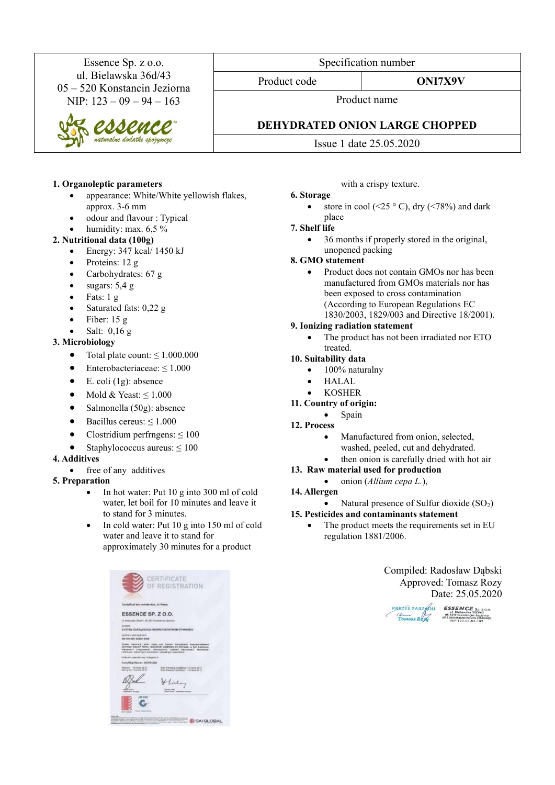Essence Sp. z o.o. ul. Bielawska 36d/43 05 – 520 Konstancin Jeziorna NIP: 123 – 09 – 94 – 163

# **1. Organoleptic parameters**

- appearance: White/White yellowish flakes, approx. 3-6 mm
- odour and flavour : Typical
- humidity: max. 6,5 %

## **2. Nutritional data (100g)**

- Energy:  $347$  kcal/  $1450$  kJ
- Proteins:  $12 g$
- Carbohydrates: 67 g
- sugars:  $5,4 \text{ g}$
- Fats:  $1 \text{ g}$
- Saturated fats: 0,22 g
- Fiber:  $15 g$
- Salt: 0,16 g

## **3. Microbiology**

- Total plate count:  $\leq 1.000.000$
- Enterobacteriaceae:  $\leq 1.000$
- $\bullet$  E. coli (1g): absence
- Mold & Yeast:  $\leq 1.000$
- Salmonella (50g): absence
- Bacillus cereus:  $\leq 1.000$
- Clostridium perfrngens:  $\leq 100$
- Staphylococcus aureus:  $\leq 100$

#### **4. Additives**

free of any additives

# **5. Preparation**

- In hot water: Put 10 g into 300 ml of cold water, let boil for 10 minutes and leave it to stand for 3 minutes.
- In cold water: Put 10 g into 150 ml of cold water and leave it to stand for approximately 30 minutes for a product

| BartyRkot ten polyéentre, 2x finne:                       |                                                                                                                                                                                                                                                                              |
|-----------------------------------------------------------|------------------------------------------------------------------------------------------------------------------------------------------------------------------------------------------------------------------------------------------------------------------------------|
| ESSENCE SP. Z O.O.                                        |                                                                                                                                                                                                                                                                              |
| al Biskauka (Muus), Bl-525 Konstances, Moorra             |                                                                                                                                                                                                                                                                              |
| <b>Job Selvice</b>                                        | SVIETRIM ZARZAOZANJA REZPECZERSTWEM ZYWHOSCI                                                                                                                                                                                                                                 |
| aged by a supering an user.<br>B/S EN ISO 22000-2004      |                                                                                                                                                                                                                                                                              |
|                                                           | ZAVID NAUSTRO, WINT Story (est System ZavidAlans Augustavidades)<br>Zawrodzi śmuczy kandlu renurskymi dodzistani za ziswności, w tym auszcause<br>warework pregnances, depressions, clubars electronics, englished<br>refinered estatement announced instanting transmission |
| Liefensch Synandicioner/ American 31                      |                                                                                                                                                                                                                                                                              |
| Cottyfikat Numer: NOV31229                                |                                                                                                                                                                                                                                                                              |
| Wydanic 10 insiga 2212<br>Winnipeg Alex 4-3 senated 20102 | Date Planneys's Credebback 14 marca 2012<br>Date Blackers Colleting (1) 14 marca 2012                                                                                                                                                                                        |
|                                                           | Hulu                                                                                                                                                                                                                                                                         |
| product the product<br><b>Indication Nanger</b>           | Subdom Library<br><b>Ulbread found 1 incompany ties</b>                                                                                                                                                                                                                      |

Specification number

Product code **ONI7X9V** 

Product name

# **DEHYDRATED ONION LARGE CHOPPED**

Issue 1 date 25.05.2020

with a crispy texture.

# **6. Storage**

store in cool (<25  $\degree$  C), dry (<78%) and dark place

# **7. Shelf life**

• 36 months if properly stored in the original, unopened packing

# **8. GMO statement**

• Product does not contain GMOs nor has been manufactured from GMOs materials nor has been exposed to cross contamination (According to European Regulations EC 1830/2003, 1829/003 and Directive 18/2001).

# **9. Ionizing radiation statement**

• The product has not been irradiated nor ETO treated.

#### **10. Suitability data**

- 100% naturalny
- HALAL
- KOSHER

# **11. Country of origin:**

- Spain
- **12. Process**
	- Manufactured from onion, selected, washed, peeled, cut and dehydrated.
	- then onion is carefully dried with hot air
- **13. Raw material used for production**
	- onion (*Allium cepa L.*),
- **14. Allergen**
	- Natural presence of Sulfur dioxide  $(SO<sub>2</sub>)$

# **15. Pesticides and contaminants statement**

The product meets the requirements set in EU regulation 1881/2006.

> Compiled: Radosław Dąbski Approved: Tomasz Rozy